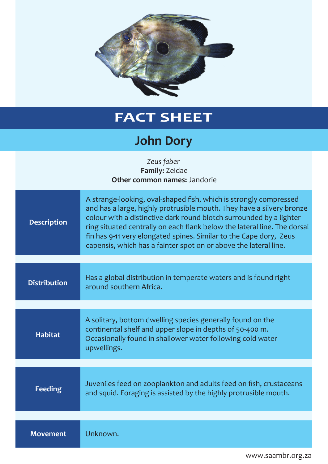

## **FACT SHEET**

## **John Dory**

| Zeus faber<br>Family: Zeidae<br>Other common names: Jandorie |                                                                                                                                                                                                                                                                                                                                                                                                                                         |  |
|--------------------------------------------------------------|-----------------------------------------------------------------------------------------------------------------------------------------------------------------------------------------------------------------------------------------------------------------------------------------------------------------------------------------------------------------------------------------------------------------------------------------|--|
| <b>Description</b>                                           | A strange-looking, oval-shaped fish, which is strongly compressed<br>and has a large, highly protrusible mouth. They have a silvery bronze<br>colour with a distinctive dark round blotch surrounded by a lighter<br>ring situated centrally on each flank below the lateral line. The dorsal<br>fin has 9-11 very elongated spines. Similar to the Cape dory, Zeus<br>capensis, which has a fainter spot on or above the lateral line. |  |
|                                                              |                                                                                                                                                                                                                                                                                                                                                                                                                                         |  |
| <b>Distribution</b>                                          | Has a global distribution in temperate waters and is found right<br>around southern Africa.                                                                                                                                                                                                                                                                                                                                             |  |
|                                                              |                                                                                                                                                                                                                                                                                                                                                                                                                                         |  |
| <b>Habitat</b>                                               | A solitary, bottom dwelling species generally found on the<br>continental shelf and upper slope in depths of 50-400 m.<br>Occasionally found in shallower water following cold water<br>upwellings.                                                                                                                                                                                                                                     |  |
|                                                              |                                                                                                                                                                                                                                                                                                                                                                                                                                         |  |
| <b>Feeding</b>                                               | Juveniles feed on zooplankton and adults feed on fish, crustaceans<br>and squid. Foraging is assisted by the highly protrusible mouth.                                                                                                                                                                                                                                                                                                  |  |
|                                                              |                                                                                                                                                                                                                                                                                                                                                                                                                                         |  |
| <b>Movement</b>                                              | Unknown.                                                                                                                                                                                                                                                                                                                                                                                                                                |  |

www.saambr.org.za